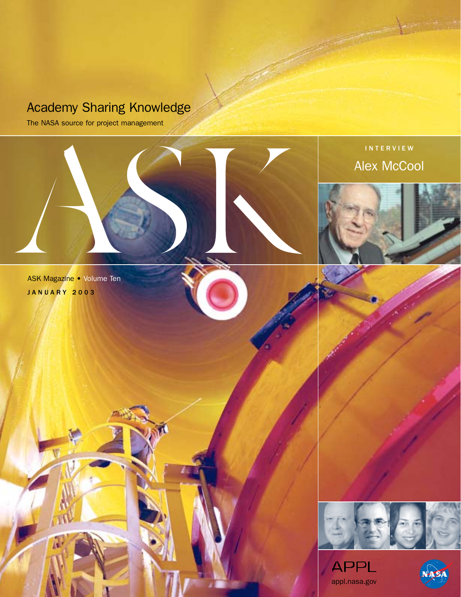# Academy Sharing Knowledge

The NASA source for project management



INTERVIEW Alex McCool







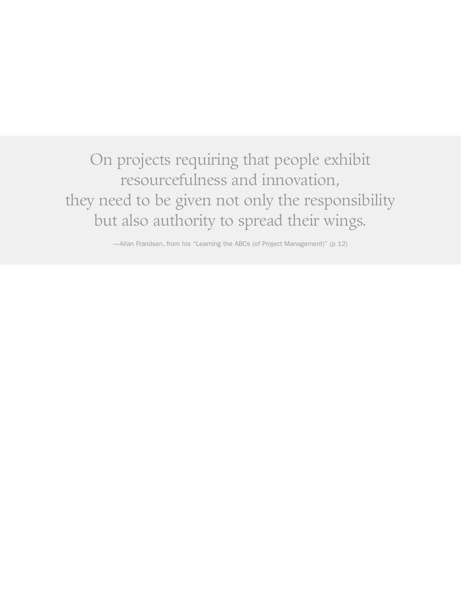On projects requiring that people exhibit resourcefulness and innovation, they need to be given not only the responsibility but also authority to spread their wings.

—Allan Frandsen, from his "Learning the ABCs (of Project Management)" (p 12)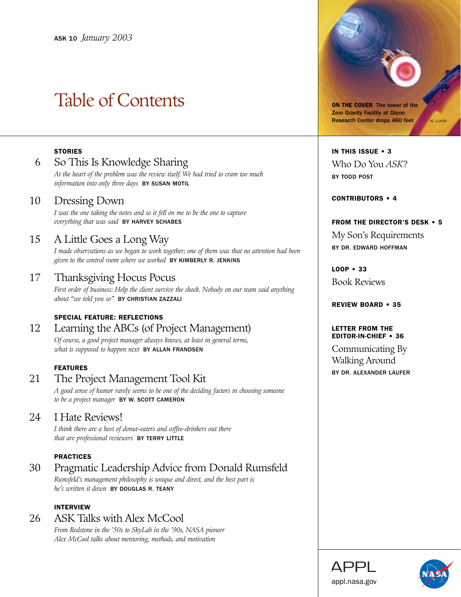# Table of Contents

# **STORIES**

# 6 So This Is Knowledge Sharing

*At the heart of the problem was the review itself. We had tried to cram too much information into only three days* BY SUSAN MOTIL

# 10 Dressing Down

*I was the one taking the notes and so it fell on me to be the one to capture everything that was said* BY HARVEY SCHABES

# 15 A Little Goes a Long Way

*I made observations as we began to work together; one of them was that no attention had been given to the control room where we worked* BY KIMBERLY R. JENKINS

# 17 Thanksgiving Hocus Pocus

*First order of business: Help the client survive the shock. Nobody on our team said anything about "we told you so"* BY CHRISTIAN ZAZZALI

# SPECIAL FEATURE: REFLECTIONS

# 12 Learning the ABCs (of Project Management)

*Of course, a good project manager always knows, at least in general terms, what is supposed to happen next* BY ALLAN FRANDSEN

# FEATURES

# 21 The Project Management Tool Kit

*A good sense of humor rarely seems to be one of the deciding factors in choosing someone to be a project manager* BY W. SCOTT CAMERON

# 24 I Hate Reviews!

*I think there are a host of donut-eaters and coffee-drinkers out there that are professional reviewers* BY TERRY LITTLE

# PRACTICES

# 30 Pragmatic Leadership Advice from Donald Rumsfeld *Rumsfeld's management philosophy is unique and direct, and the best part is*

*he's written it down* BY DOUGLAS R. TEANY

# INTERVIEW

# 26 ASK Talks with Alex McCool

*From Redstone in the '50s to SkyLab in the '90s, NASA pioneer Alex McCool talks about mentoring, methods, and motivation*

ON THE COVER The tower of the Zero Gravity Facility at Glenn Research Center drops 460 feet AL LUKAS

# IN THIS ISSUE • 3 Who Do You *ASK*? BY TODD POST

CONTRIBUTORS • 4

# FROM THE DIRECTOR'S DESK • 5

My Son's Requirements BY DR. EDWARD HOFFMAN

LOOP • 33

Book Reviews

# REVIEW BOARD • 35

# LETTER FROM THE EDITOR-IN-CHIEF • 36

Communicating By Walking Around BY DR. ALEXANDER LAUFER

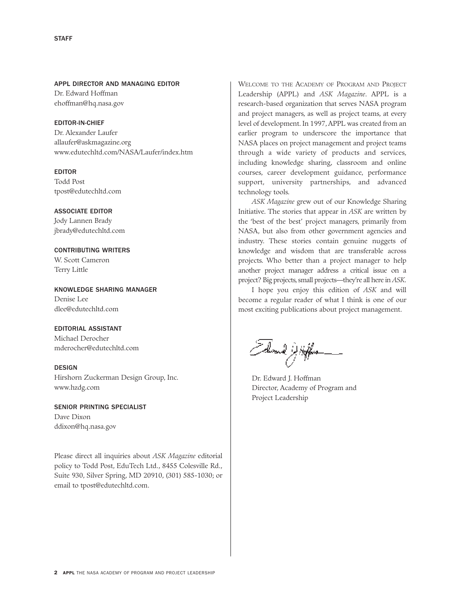# APPL DIRECTOR AND MANAGING EDITOR

Dr. Edward Hoffman ehoffman@hq.nasa.gov

# EDITOR-IN-CHIEF

Dr. Alexander Laufer allaufer@askmagazine.org www.edutechltd.com/NASA/Laufer/index.htm

# EDITOR

Todd Post tpost@edutechltd.com

ASSOCIATE EDITOR Jody Lannen Brady jbrady@edutechltd.com

CONTRIBUTING WRITERS W. Scott Cameron Terry Little

KNOWLEDGE SHARING MANAGER Denise Lee dlee@edutechltd.com

# EDITORIAL ASSISTANT

Michael Derocher mderocher@edutechltd.com

# DESIGN

Hirshorn Zuckerman Design Group, Inc. www.hzdg.com

SENIOR PRINTING SPECIALIST Dave Dixon ddixon@hq.nasa.gov

Please direct all inquiries about *ASK Magazine* editorial policy to Todd Post, EduTech Ltd., 8455 Colesville Rd., Suite 930, Silver Spring, MD 20910, (301) 585-1030; or email to tpost@edutechltd.com.

WELCOME TO THE ACADEMY OF PROGRAM AND PROJECT Leadership (APPL) and *ASK Magazine*. APPL is a research-based organization that serves NASA program and project managers, as well as project teams, at every level of development. In 1997, APPL was created from an earlier program to underscore the importance that NASA places on project management and project teams through a wide variety of products and services, including knowledge sharing, classroom and online courses, career development guidance, performance support, university partnerships, and advanced technology tools.

*ASK Magazine* grew out of our Knowledge Sharing Initiative. The stories that appear in *ASK* are written by the 'best of the best' project managers, primarily from NASA, but also from other government agencies and industry. These stories contain genuine nuggets of knowledge and wisdom that are transferable across projects. Who better than a project manager to help another project manager address a critical issue on a project? Big projects, small projects—they're all here in *ASK*.

I hope you enjoy this edition of *ASK* and will become a regular reader of what I think is one of our most exciting publications about project management.

Arad Affus

Dr. Edward J. Hoffman Director, Academy of Program and Project Leadership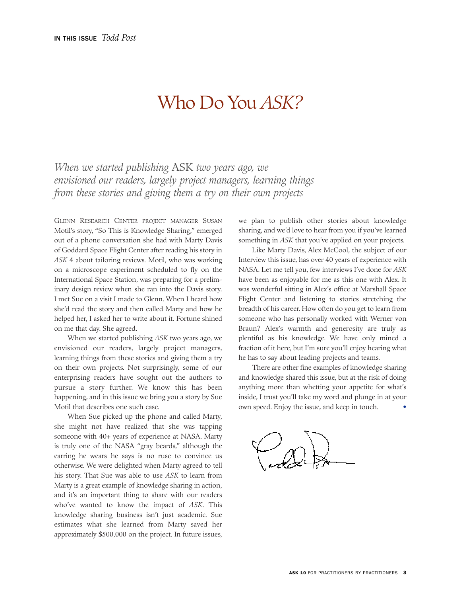# Who Do You *ASK?*

*When we started publishing* ASK *two years ago, we envisioned our readers, largely project managers, learning things from these stories and giving them a try on their own projects*

GLENN RESEARCH CENTER PROJECT MANAGER SUSAN Motil's story, "So This is Knowledge Sharing," emerged out of a phone conversation she had with Marty Davis of Goddard Space Flight Center after reading his story in *ASK* 4 about tailoring reviews. Motil, who was working on a microscope experiment scheduled to fly on the International Space Station, was preparing for a preliminary design review when she ran into the Davis story. I met Sue on a visit I made to Glenn. When I heard how she'd read the story and then called Marty and how he helped her, I asked her to write about it. Fortune shined on me that day. She agreed.

When we started publishing *ASK* two years ago, we envisioned our readers, largely project managers, learning things from these stories and giving them a try on their own projects. Not surprisingly, some of our enterprising readers have sought out the authors to pursue a story further. We know this has been happening, and in this issue we bring you a story by Sue Motil that describes one such case.

When Sue picked up the phone and called Marty, she might not have realized that she was tapping someone with 40+ years of experience at NASA. Marty is truly one of the NASA "gray beards," although the earring he wears he says is no ruse to convince us otherwise. We were delighted when Marty agreed to tell his story. That Sue was able to use *ASK* to learn from Marty is a great example of knowledge sharing in action, and it's an important thing to share with our readers who've wanted to know the impact of *ASK*. This knowledge sharing business isn't just academic. Sue estimates what she learned from Marty saved her approximately \$500,000 on the project. In future issues,

we plan to publish other stories about knowledge sharing, and we'd love to hear from you if you've learned something in *ASK* that you've applied on your projects.

Like Marty Davis, Alex McCool, the subject of our Interview this issue, has over 40 years of experience with NASA. Let me tell you, few interviews I've done for *ASK* have been as enjoyable for me as this one with Alex. It was wonderful sitting in Alex's office at Marshall Space Flight Center and listening to stories stretching the breadth of his career. How often do you get to learn from someone who has personally worked with Werner von Braun? Alex's warmth and generosity are truly as plentiful as his knowledge. We have only mined a fraction of it here, but I'm sure you'll enjoy hearing what he has to say about leading projects and teams.

There are other fine examples of knowledge sharing and knowledge shared this issue, but at the risk of doing anything more than whetting your appetite for what's inside, I trust you'll take my word and plunge in at your own speed. Enjoy the issue, and keep in touch. •

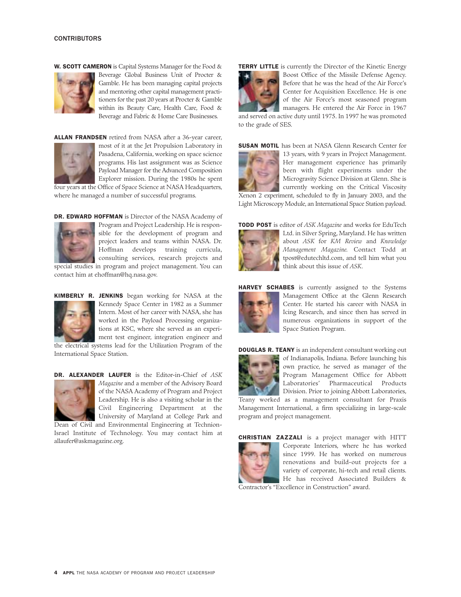W. SCOTT CAMERON is Capital Systems Manager for the Food &



Beverage Global Business Unit of Procter & Gamble. He has been managing capital projects and mentoring other capital management practitioners for the past 20 years at Procter & Gamble within its Beauty Care, Health Care, Food & Beverage and Fabric & Home Care Businesses.

ALLAN FRANDSEN retired from NASA after a 36-year career,



most of it at the Jet Propulsion Laboratory in Pasadena, California, working on space science programs. His last assignment was as Science Payload Manager for the Advanced Composition Explorer mission. During the 1980s he spent four years at the Office of Space Science at NASA Headquarters,

where he managed a number of successful programs.

DR. EDWARD HOFFMAN is Director of the NASA Academy of



Program and Project Leadership. He is responsible for the development of program and project leaders and teams within NASA. Dr. Hoffman develops training curricula, consulting services, research projects and

special studies in program and project management. You can contact him at ehoffman@hq.nasa.gov.



KIMBERLY R. JENKINS began working for NASA at the Kennedy Space Center in 1982 as a Summer Intern. Most of her career with NASA, she has worked in the Payload Processing organizations at KSC, where she served as an experiment test engineer, integration engineer and

the electrical systems lead for the Utilization Program of the International Space Station.

DR. ALEXANDER LAUFER is the Editor-in-Chief of *ASK*



*Magazine* and a member of the Advisory Board of the NASA Academy of Program and Project Leadership. He is also a visiting scholar in the Civil Engineering Department at the University of Maryland at College Park and Dean of Civil and Environmental Engineering at Technion-

Israel Institute of Technology. You may contact him at allaufer@askmagazine.org.

TERRY LITTLE is currently the Director of the Kinetic Energy



Boost Office of the Missile Defense Agency. Before that he was the head of the Air Force's Center for Acquisition Excellence. He is one of the Air Force's most seasoned program managers. He entered the Air Force in 1967

and served on active duty until 1975. In 1997 he was promoted to the grade of SES.

SUSAN MOTIL has been at NASA Glenn Research Center for



13 years, with 9 years in Project Management. Her management experience has primarily been with flight experiments under the Microgravity Science Division at Glenn. She is currently working on the Critical Viscosity

Xenon 2 experiment, scheduled to fly in January 2003, and the Light Microscopy Module, an International Space Station payload.

TODD POST is editor of *ASK Magazine* and works for EduTech



Ltd. in Silver Spring, Maryland. He has written about *ASK* for *KM Review* and *Knowledge Management Magazine.* Contact Todd at tpost@edutechltd.com, and tell him what you think about this issue of *ASK*.



HARVEY SCHABES is currently assigned to the Systems Management Office at the Glenn Research Center. He started his career with NASA in Icing Research, and since then has served in numerous organizations in support of the Space Station Program.

DOUGLAS R. TEANY is an independent consultant working out



of Indianapolis, Indiana. Before launching his own practice, he served as manager of the Program Management Office for Abbott Laboratories' Pharmaceutical Products Division. Prior to joining Abbott Laboratories,

Teany worked as a management consultant for Praxis Management International, a firm specializing in large-scale program and project management.



CHRISTIAN ZAZZALI is a project manager with HITT Corporate Interiors, where he has worked since 1999. He has worked on numerous renovations and build-out projects for a variety of corporate, hi-tech and retail clients. He has received Associated Builders & Contractor's "Excellence in Construction" award.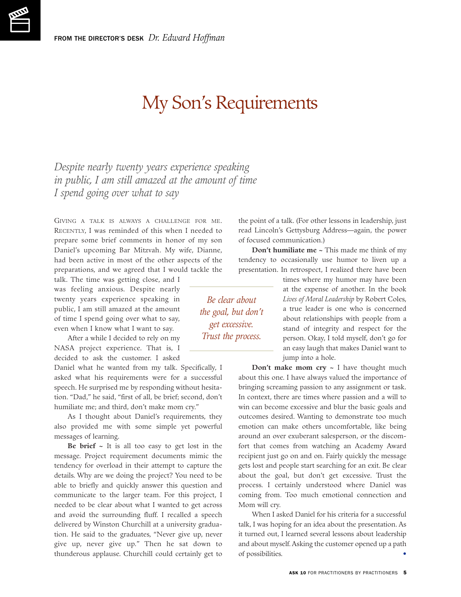# My Son's Requirements

*Despite nearly twenty years experience speaking in public, I am still amazed at the amount of time I spend going over what to say*

GIVING A TALK IS ALWAYS A CHALLENGE FOR ME. RECENTLY, I was reminded of this when I needed to prepare some brief comments in honor of my son Daniel's upcoming Bar Mitzvah. My wife, Dianne, had been active in most of the other aspects of the preparations, and we agreed that I would tackle the

talk. The time was getting close, and I was feeling anxious. Despite nearly twenty years experience speaking in public, I am still amazed at the amount of time I spend going over what to say, even when I know what I want to say.

After a while I decided to rely on my NASA project experience. That is, I decided to ask the customer. I asked

Daniel what he wanted from my talk. Specifically, I asked what his requirements were for a successful speech. He surprised me by responding without hesitation. "Dad," he said, "first of all, be brief; second, don't humiliate me; and third, don't make mom cry."

As I thought about Daniel's requirements, they also provided me with some simple yet powerful messages of learning.

**Be brief ~** It is all too easy to get lost in the message. Project requirement documents mimic the tendency for overload in their attempt to capture the details. Why are we doing the project? You need to be able to briefly and quickly answer this question and communicate to the larger team. For this project, I needed to be clear about what I wanted to get across and avoid the surrounding fluff. I recalled a speech delivered by Winston Churchill at a university graduation. He said to the graduates, "Never give up, never give up, never give up." Then he sat down to thunderous applause. Churchill could certainly get to

the point of a talk. (For other lessons in leadership, just read Lincoln's Gettysburg Address—again, the power of focused communication.)

**Don't humiliate me ~** This made me think of my tendency to occasionally use humor to liven up a presentation. In retrospect, I realized there have been

*Be clear about the goal, but don't get excessive. Trust the process.*

times where my humor may have been at the expense of another. In the book *Lives of Moral Leadership* by Robert Coles, a true leader is one who is concerned about relationships with people from a stand of integrity and respect for the person. Okay, I told myself, don't go for an easy laugh that makes Daniel want to jump into a hole.

**Don't make mom cry ~** I have thought much about this one. I have always valued the importance of bringing screaming passion to any assignment or task. In context, there are times where passion and a will to win can become excessive and blur the basic goals and outcomes desired. Wanting to demonstrate too much emotion can make others uncomfortable, like being around an over exuberant salesperson, or the discomfort that comes from watching an Academy Award recipient just go on and on. Fairly quickly the message gets lost and people start searching for an exit. Be clear about the goal, but don't get excessive. Trust the process. I certainly understood where Daniel was coming from. Too much emotional connection and Mom will cry.

When I asked Daniel for his criteria for a successful talk, I was hoping for an idea about the presentation. As it turned out, I learned several lessons about leadership and about myself. Asking the customer opened up a path of possibilities. •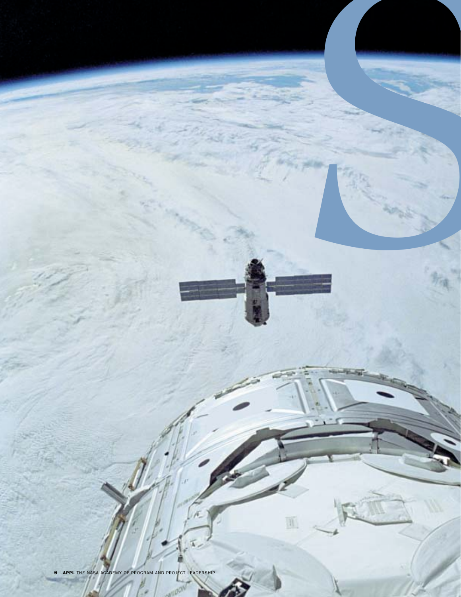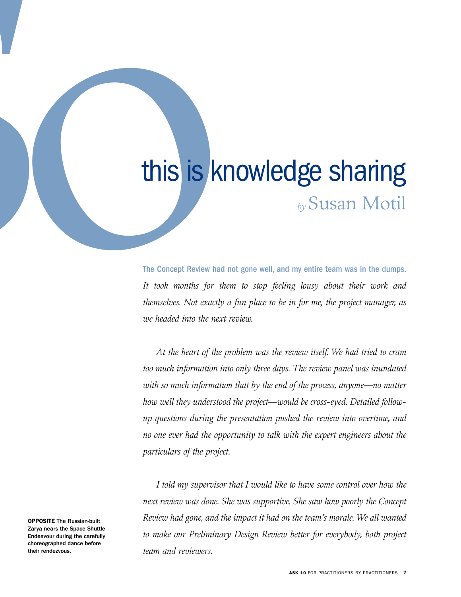# This is knowledge sharing<br>
by Susan Motil<br>
the Concept Review had not gone well, and my entire team was in the dumps.<br>
It took months for three is step feeling, longy about their work and<br>
therefore, the project manager, a *by*Susan Motil

The Concept Review had not gone well, and my entire team was in the dumps. *It took months for them to stop feeling lousy about their work and themselves. Not exactly a fun place to be in for me, the project manager, as we headed into the next review.*

*At the heart of the problem was the review itself. We had tried to cram too much information into only three days. The review panel was inundated with so much information that by the end of the process, anyone—no matter how well they understood the project—would be cross-eyed. Detailed followup questions during the presentation pushed the review into overtime, and no one ever had the opportunity to talk with the expert engineers about the particulars of the project.*

*I told my supervisor that I would like to have some control over how the next review was done. She was supportive. She saw how poorly the Concept Review had gone, and the impact it had on the team's morale. We all wanted to make our Preliminary Design Review better for everybody, both project team and reviewers.*

OPPOSITE The Russian-built Zarya nears the Space Shuttle Endeavour during the carefully choreographed dance before their rendezvous.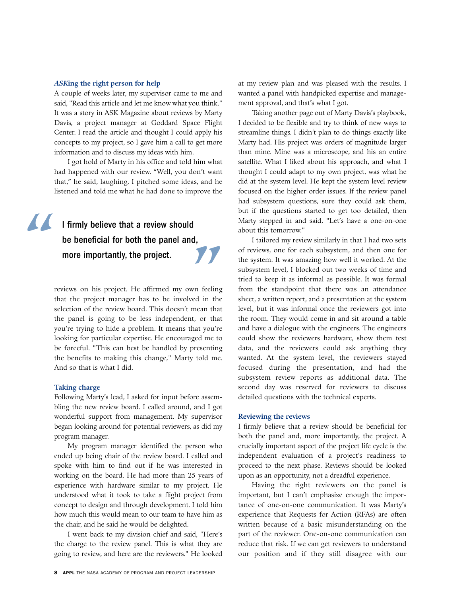# *ASK***ing the right person for help**

A couple of weeks later, my supervisor came to me and said, "Read this article and let me know what you think." It was a story in ASK Magazine about reviews by Marty Davis, a project manager at Goddard Space Flight Center. I read the article and thought I could apply his concepts to my project, so I gave him a call to get more information and to discuss my ideas with him.

I got hold of Marty in his office and told him what had happened with our review. "Well, you don't want that," he said, laughing. I pitched some ideas, and he listened and told me what he had done to improve the

# I firmly believe that a review should be beneficial for both the panel and, **"**

reviews on his project. He affirmed my own feeling that the project manager has to be involved in the selection of the review board. This doesn't mean that the panel is going to be less independent, or that you're trying to hide a problem. It means that you're looking for particular expertise. He encouraged me to be forceful. "This can best be handled by presenting the benefits to making this change," Marty told me. And so that is what I did. **nore importantly, the project.**<br>Views on his project. He affirmed my own feeling<br>at the project manager has to be involved in the

### **Taking charge**

Following Marty's lead, I asked for input before assembling the new review board. I called around, and I got wonderful support from management. My supervisor began looking around for potential reviewers, as did my program manager.

My program manager identified the person who ended up being chair of the review board. I called and spoke with him to find out if he was interested in working on the board. He had more than 25 years of experience with hardware similar to my project. He understood what it took to take a flight project from concept to design and through development. I told him how much this would mean to our team to have him as the chair, and he said he would be delighted.

I went back to my division chief and said, "Here's the charge to the review panel. This is what they are going to review, and here are the reviewers." He looked at my review plan and was pleased with the results. I wanted a panel with handpicked expertise and management approval, and that's what I got.

Taking another page out of Marty Davis's playbook, I decided to be flexible and try to think of new ways to streamline things. I didn't plan to do things exactly like Marty had. His project was orders of magnitude larger than mine. Mine was a microscope, and his an entire satellite. What I liked about his approach, and what I thought I could adapt to my own project, was what he did at the system level. He kept the system level review focused on the higher order issues. If the review panel had subsystem questions, sure they could ask them, but if the questions started to get too detailed, then Marty stepped in and said, "Let's have a one-on-one about this tomorrow."

I tailored my review similarly in that I had two sets of reviews, one for each subsystem, and then one for the system. It was amazing how well it worked. At the subsystem level, I blocked out two weeks of time and tried to keep it as informal as possible. It was formal from the standpoint that there was an attendance sheet, a written report, and a presentation at the system level, but it was informal once the reviewers got into the room. They would come in and sit around a table and have a dialogue with the engineers. The engineers could show the reviewers hardware, show them test data, and the reviewers could ask anything they wanted. At the system level, the reviewers stayed focused during the presentation, and had the subsystem review reports as additional data. The second day was reserved for reviewers to discuss detailed questions with the technical experts.

# **Reviewing the reviews**

I firmly believe that a review should be beneficial for both the panel and, more importantly, the project. A crucially important aspect of the project life cycle is the independent evaluation of a project's readiness to proceed to the next phase. Reviews should be looked upon as an opportunity, not a dreadful experience.

Having the right reviewers on the panel is important, but I can't emphasize enough the importance of one-on-one communication. It was Marty's experience that Requests for Action (RFAs) are often written because of a basic misunderstanding on the part of the reviewer. One-on-one communication can reduce that risk. If we can get reviewers to understand our position and if they still disagree with our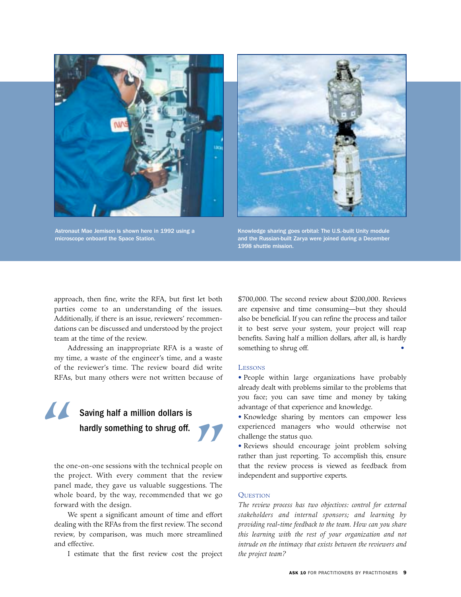

Astronaut Mae Jemison is shown here in 1992 using a microscope onboard the Space Station.



Knowledge sharing goes orbital: The U.S.-built Unity module and the Russian-built Zarya were joined during a December 1998 shuttle mission.

approach, then fine, write the RFA, but first let both parties come to an understanding of the issues. Additionally, if there is an issue, reviewers' recommendations can be discussed and understood by the project team at the time of the review.

Addressing an inappropriate RFA is a waste of my time, a waste of the engineer's time, and a waste of the reviewer's time. The review board did write RFAs, but many others were not written because of

# Saving half a million dollars is<br>**hardly** something to shrug off.

the one-on-one sessions with the technical people on the project. With every comment that the review panel made, they gave us valuable suggestions. The whole board, by the way, recommended that we go forward with the design. **hardly something to shrug off.**<br>
For the sessions with the technical people on<br>
ject. With every comment that the review

We spent a significant amount of time and effort dealing with the RFAs from the first review. The second review, by comparison, was much more streamlined and effective.

I estimate that the first review cost the project

\$700,000. The second review about \$200,000. Reviews are expensive and time consuming—but they should also be beneficial. If you can refine the process and tailor it to best serve your system, your project will reap benefits. Saving half a million dollars, after all, is hardly something to shrug off.

## LESSONS

- People within large organizations have probably already dealt with problems similar to the problems that you face; you can save time and money by taking advantage of that experience and knowledge.
- Knowledge sharing by mentors can empower less experienced managers who would otherwise not challenge the status quo.
- Reviews should encourage joint problem solving rather than just reporting. To accomplish this, ensure that the review process is viewed as feedback from independent and supportive experts.

### **OUESTION**

*The review process has two objectives: control for external stakeholders and internal sponsors; and learning by providing real-time feedback to the team. How can you share this learning with the rest of your organization and not intrude on the intimacy that exists between the reviewers and the project team?*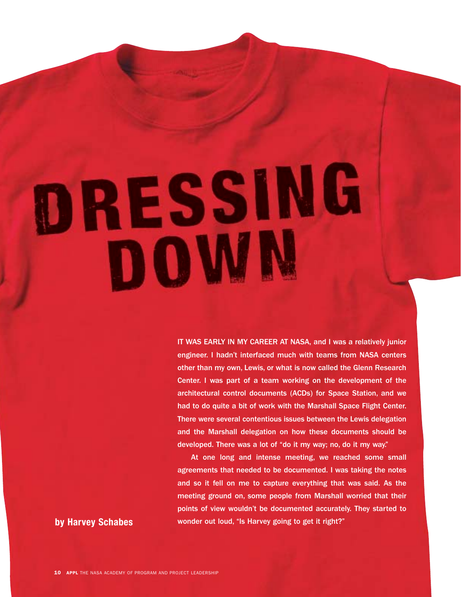DRESSING DOWN

> IT WAS EARLY IN MY CAREER AT NASA, and I was a relatively junior engineer. I hadn't interfaced much with teams from NASA centers other than my own, Lewis, or what is now called the Glenn Research Center. I was part of a team working on the development of the architectural control documents (ACDs) for Space Station, and we had to do quite a bit of work with the Marshall Space Flight Center. There were several contentious issues between the Lewis delegation and the Marshall delegation on how these documents should be developed. There was a lot of "do it my way; no, do it my way."

At one long and intense meeting, we reached some small agreements that needed to be documented. I was taking the notes and so it fell on me to capture everything that was said. As the meeting ground on, some people from Marshall worried that their points of view wouldn't be documented accurately. They started to **by Harvey Schabes** wonder out loud, "Is Harvey going to get it right?"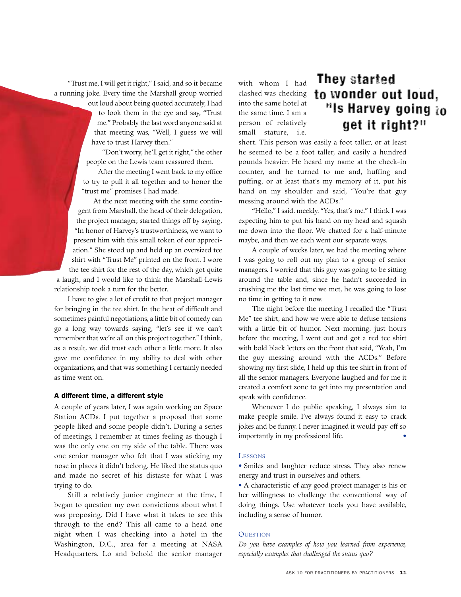"Trust me, I will get it right," I said, and so it became a running joke. Every time the Marshall group worried

> out loud about being quoted accurately, I had to look them in the eye and say, "Trust me." Probably the last word anyone said at that meeting was, "Well, I guess we will have to trust Harvey then."

"Don't worry, he'll get it right," the other people on the Lewis team reassured them.

After the meeting I went back to my office to try to pull it all together and to honor the "trust me" promises I had made.

At the next meeting with the same contingent from Marshall, the head of their delegation, the project manager, started things off by saying, "In honor of Harvey's trustworthiness, we want to present him with this small token of our appreciation." She stood up and held up an oversized tee shirt with "Trust Me" printed on the front. I wore the tee shirt for the rest of the day, which got quite

a laugh, and I would like to think the Marshall-Lewis relationship took a turn for the better.

I have to give a lot of credit to that project manager for bringing in the tee shirt. In the heat of difficult and sometimes painful negotiations, a little bit of comedy can go a long way towards saying, "let's see if we can't remember that we're all on this project together." I think, as a result, we did trust each other a little more. It also gave me confidence in my ability to deal with other organizations, and that was something I certainly needed as time went on.

## A different time, a different style

A couple of years later, I was again working on Space Station ACDs. I put together a proposal that some people liked and some people didn't. During a series of meetings, I remember at times feeling as though I was the only one on my side of the table. There was one senior manager who felt that I was sticking my nose in places it didn't belong. He liked the status quo and made no secret of his distaste for what I was trying to do.

Still a relatively junior engineer at the time, I began to question my own convictions about what I was proposing. Did I have what it takes to see this through to the end? This all came to a head one night when I was checking into a hotel in the Washington, D.C., area for a meeting at NASA Headquarters. Lo and behold the senior manager

with whom I had clashed was checking into the same hotel at the same time. I am a person of relatively small stature, i.e.

# They started to wonder out loud. "Is Harvey going to get it right?"

short. This person was easily a foot taller, or at least he seemed to be a foot taller, and easily a hundred pounds heavier. He heard my name at the check-in counter, and he turned to me and, huffing and puffing, or at least that's my memory of it, put his hand on my shoulder and said, "You're that guy messing around with the ACDs."

"Hello," I said, meekly. "Yes, that's me." I think I was expecting him to put his hand on my head and squash me down into the floor. We chatted for a half-minute maybe, and then we each went our separate ways.

A couple of weeks later, we had the meeting where I was going to roll out my plan to a group of senior managers. I worried that this guy was going to be sitting around the table and, since he hadn't succeeded in crushing me the last time we met, he was going to lose no time in getting to it now.

The night before the meeting I recalled the "Trust Me" tee shirt, and how we were able to defuse tensions with a little bit of humor. Next morning, just hours before the meeting, I went out and got a red tee shirt with bold black letters on the front that said, "Yeah, I'm the guy messing around with the ACDs." Before showing my first slide, I held up this tee shirt in front of all the senior managers. Everyone laughed and for me it created a comfort zone to get into my presentation and speak with confidence.

Whenever I do public speaking, I always aim to make people smile. I've always found it easy to crack jokes and be funny. I never imagined it would pay off so importantly in my professional life. •

# LESSONS

• Smiles and laughter reduce stress. They also renew energy and trust in ourselves and others.

• A characteristic of any good project manager is his or her willingness to challenge the conventional way of doing things. Use whatever tools you have available, including a sense of humor.

# **OUESTION**

*Do you have examples of how you learned from experience, especially examples that challenged the status quo?*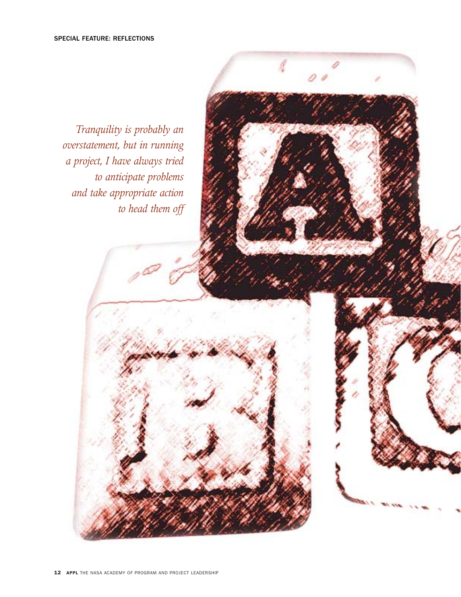*Tranquility is probably an overstatement, but in running a project, I have always tried to anticipate problems and take appropriate action to head them off*

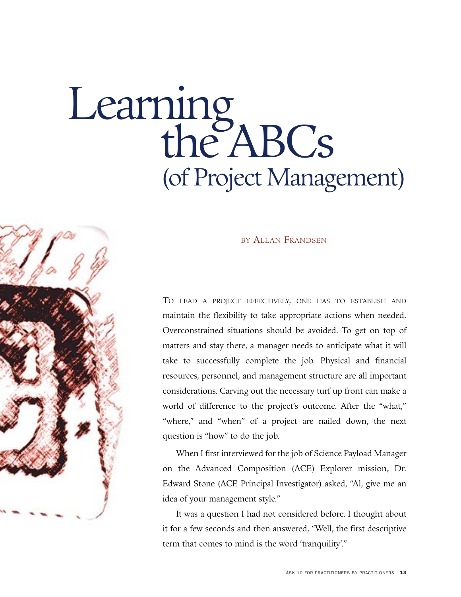# Learning<br>the ABCs (of Project Management)



# BY ALLAN FRANDSEN

TO LEAD A PROJECT EFFECTIVELY, ONE HAS TO ESTABLISH AND maintain the flexibility to take appropriate actions when needed. Overconstrained situations should be avoided. To get on top of matters and stay there, a manager needs to anticipate what it will take to successfully complete the job. Physical and financial resources, personnel, and management structure are all important considerations. Carving out the necessary turf up front can make a world of difference to the project's outcome. After the "what," "where," and "when" of a project are nailed down, the next question is "how" to do the job.

When I first interviewed for the job of Science Payload Manager on the Advanced Composition (ACE) Explorer mission, Dr. Edward Stone (ACE Principal Investigator) asked, "Al, give me an idea of your management style."

It was a question I had not considered before. I thought about it for a few seconds and then answered, "Well, the first descriptive term that comes to mind is the word 'tranquility'."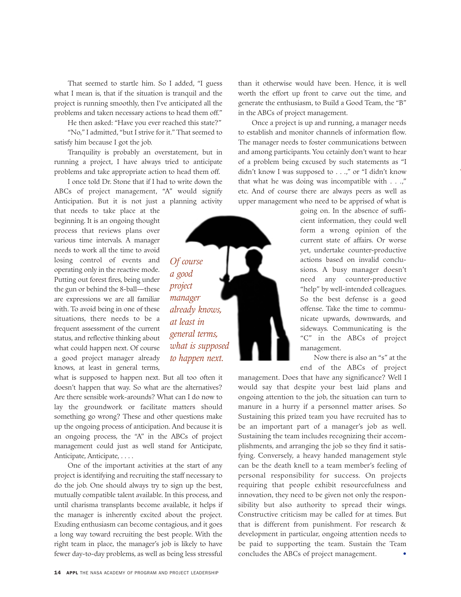That seemed to startle him. So I added, "I guess what I mean is, that if the situation is tranquil and the project is running smoothly, then I've anticipated all the problems and taken necessary actions to head them off."

He then asked: "Have you ever reached this state?"

"No," I admitted, "but I strive for it." That seemed to satisfy him because I got the job.

Tranquility is probably an overstatement, but in running a project, I have always tried to anticipate problems and take appropriate action to head them off.

I once told Dr. Stone that if I had to write down the ABCs of project management, "A" would signify Anticipation. But it is not just a planning activity

that needs to take place at the beginning. It is an ongoing thought process that reviews plans over various time intervals. A manager needs to work all the time to avoid losing control of events and operating only in the reactive mode. Putting out forest fires, being under the gun or behind the 8-ball—these are expressions we are all familiar with. To avoid being in one of these situations, there needs to be a frequent assessment of the current status, and reflective thinking about what could happen next. Of course a good project manager already knows, at least in general terms,

what is supposed to happen next. But all too often it doesn't happen that way. So what are the alternatives? Are there sensible work-arounds? What can I do now to lay the groundwork or facilitate matters should something go wrong? These and other questions make up the ongoing process of anticipation. And because it is an ongoing process, the "A" in the ABCs of project management could just as well stand for Anticipate, Anticipate, Anticipate,....

One of the important activities at the start of any project is identifying and recruiting the staff necessary to do the job. One should always try to sign up the best, mutually compatible talent available. In this process, and until charisma transplants become available, it helps if the manager is inherently excited about the project. Exuding enthusiasm can become contagious, and it goes a long way toward recruiting the best people. With the right team in place, the manager's job is likely to have fewer day-to-day problems, as well as being less stressful

than it otherwise would have been. Hence, it is well worth the effort up front to carve out the time, and generate the enthusiasm, to Build a Good Team, the "B" in the ABCs of project management.

Once a project is up and running, a manager needs to establish and monitor channels of information flow. The manager needs to foster communications between and among participants. You cetainly don't want to hear of a problem being excused by such statements as "I didn't know I was supposed to . . .," or "I didn't know that what he was doing was incompatible with . . .," etc. And of course there are always peers as well as upper management who need to be apprised of what is

> going on. In the absence of sufficient information, they could well form a wrong opinion of the current state of affairs. Or worse yet, undertake counter-productive actions based on invalid conclusions. A busy manager doesn't need any counter-productive "help" by well-intended colleagues. So the best defense is a good offense. Take the time to communicate upwards, downwards, and sideways. Communicating is the "C" in the ABCs of project management.

> Now there is also an "s" at the end of the ABCs of project

management. Does that have any significance? Well I would say that despite your best laid plans and ongoing attention to the job, the situation can turn to manure in a hurry if a personnel matter arises. So Sustaining this prized team you have recruited has to be an important part of a manager's job as well. Sustaining the team includes recognizing their accomplishments, and arranging the job so they find it satisfying. Conversely, a heavy handed management style can be the death knell to a team member's feeling of personal responsibility for success. On projects requiring that people exhibit resourcefulness and innovation, they need to be given not only the responsibility but also authority to spread their wings. Constructive criticism may be called for at times. But that is different from punishment. For research & development in particular, ongoing attention needs to be paid to supporting the team. Sustain the Team concludes the ABCs of project management.



*Of course a good project manager* 

*already knows, at least in general terms, what is supposed to happen next.*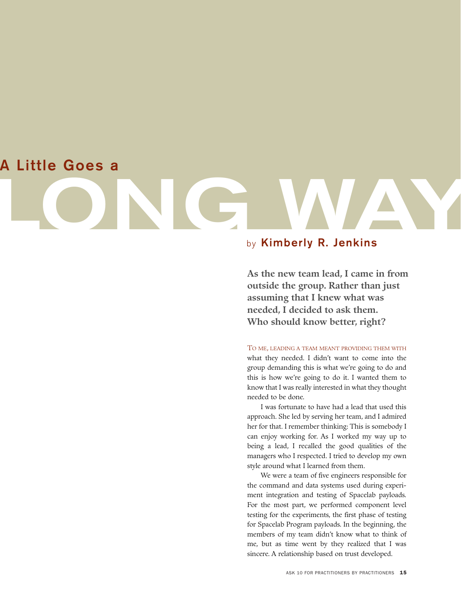# **A Little Goes a**

**LONG WAY** 

# by **Kimberly R. Jenkins**

**As the new team lead, I came in from outside the group. Rather than just assuming that I knew what was needed, I decided to ask them. Who should know better, right?** 

TO ME, LEADING A TEAM MEANT PROVIDING THEM WITH what they needed. I didn't want to come into the group demanding this is what we're going to do and this is how we're going to do it. I wanted them to know that I was really interested in what they thought needed to be done.

I was fortunate to have had a lead that used this approach. She led by serving her team, and I admired her for that. I remember thinking: This is somebody I can enjoy working for. As I worked my way up to being a lead, I recalled the good qualities of the managers who I respected. I tried to develop my own style around what I learned from them.

We were a team of five engineers responsible for the command and data systems used during experiment integration and testing of Spacelab payloads. For the most part, we performed component level testing for the experiments, the first phase of testing for Spacelab Program payloads. In the beginning, the members of my team didn't know what to think of me, but as time went by they realized that I was sincere. A relationship based on trust developed.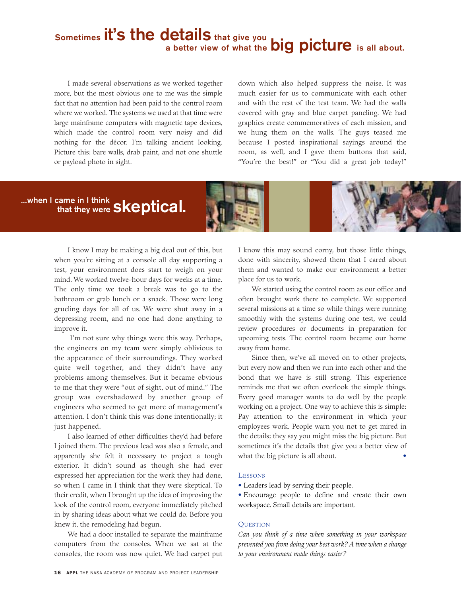# **Sometimes it's the details that give you a better view of what the big picture** is all about.

I made several observations as we worked together more, but the most obvious one to me was the simple fact that no attention had been paid to the control room where we worked. The systems we used at that time were large mainframe computers with magnetic tape devices, which made the control room very noisy and did nothing for the décor. I'm talking ancient looking. Picture this: bare walls, drab paint, and not one shuttle or payload photo in sight.

down which also helped suppress the noise. It was much easier for us to communicate with each other and with the rest of the test team. We had the walls covered with gray and blue carpet paneling. We had graphics create commemoratives of each mission, and we hung them on the walls. The guys teased me because I posted inspirational sayings around the room, as well, and I gave them buttons that said, "You're the best!" or "You did a great job today!"

# **...when I came in I think that they were skeptical.**



I know I may be making a big deal out of this, but when you're sitting at a console all day supporting a test, your environment does start to weigh on your mind. We worked twelve-hour days for weeks at a time. The only time we took a break was to go to the bathroom or grab lunch or a snack. Those were long grueling days for all of us. We were shut away in a depressing room, and no one had done anything to improve it.

I'm not sure why things were this way. Perhaps, the engineers on my team were simply oblivious to the appearance of their surroundings. They worked quite well together, and they didn't have any problems among themselves. But it became obvious to me that they were "out of sight, out of mind." The group was overshadowed by another group of engineers who seemed to get more of management's attention. I don't think this was done intentionally; it just happened.

I also learned of other difficulties they'd had before I joined them. The previous lead was also a female, and apparently she felt it necessary to project a tough exterior. It didn't sound as though she had ever expressed her appreciation for the work they had done, so when I came in I think that they were skeptical. To their credit, when I brought up the idea of improving the look of the control room, everyone immediately pitched in by sharing ideas about what we could do. Before you knew it, the remodeling had begun.

We had a door installed to separate the mainframe computers from the consoles. When we sat at the consoles, the room was now quiet. We had carpet put

I know this may sound corny, but those little things, done with sincerity, showed them that I cared about them and wanted to make our environment a better place for us to work.

We started using the control room as our office and often brought work there to complete. We supported several missions at a time so while things were running smoothly with the systems during one test, we could review procedures or documents in preparation for upcoming tests. The control room became our home away from home.

Since then, we've all moved on to other projects, but every now and then we run into each other and the bond that we have is still strong. This experience reminds me that we often overlook the simple things. Every good manager wants to do well by the people working on a project. One way to achieve this is simple: Pay attention to the environment in which your employees work. People warn you not to get mired in the details; they say you might miss the big picture. But sometimes it's the details that give you a better view of what the big picture is all about.

## **LESSONS**

- Leaders lead by serving their people.
- Encourage people to define and create their own workspace. Small details are important.

# **QUESTION**

*Can you think of a time when something in your workspace prevented you from doing your best work? A time when a change to your environment made things easier?*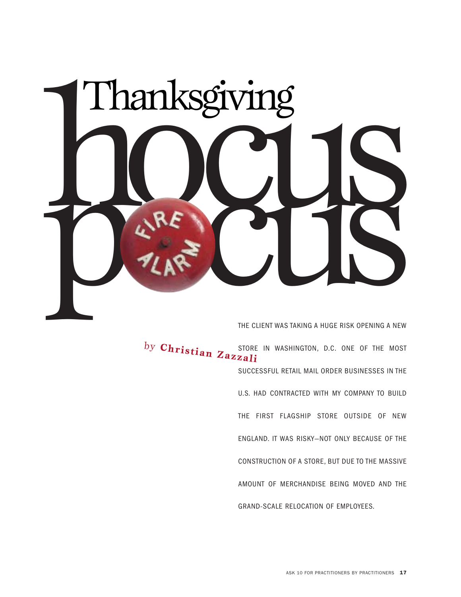

THE CLIENT WAS TAKING A HUGE RISK OPENING A NEW

by **Christian Zazzzil**: STORE IN WASHINGTON, D.C. ONE OF THE MOST SUCCESSFUL RETAIL MAIL ORDER BUSINESSES IN THE U.S. HAD CONTRACTED WITH MY COMPANY TO BUILD THE FIRST FLAGSHIP STORE OUTSIDE OF NEW ENGLAND. IT WAS RISKY—NOT ONLY BECAUSE OF THE CONSTRUCTION OF A STORE, BUT DUE TO THE MASSIVE AMOUNT OF MERCHANDISE BEING MOVED AND THE GRAND-SCALE RELOCATION OF EMPLOYEES.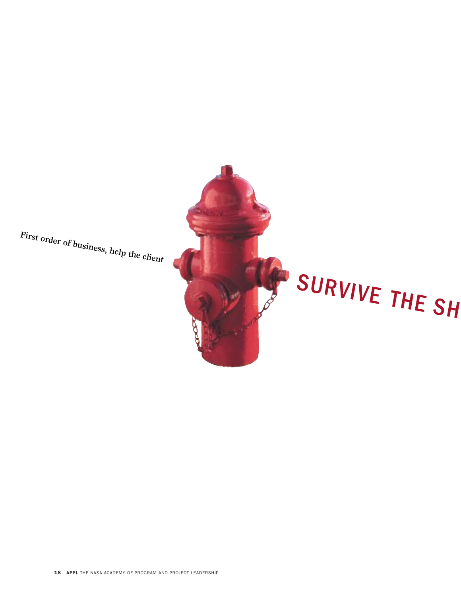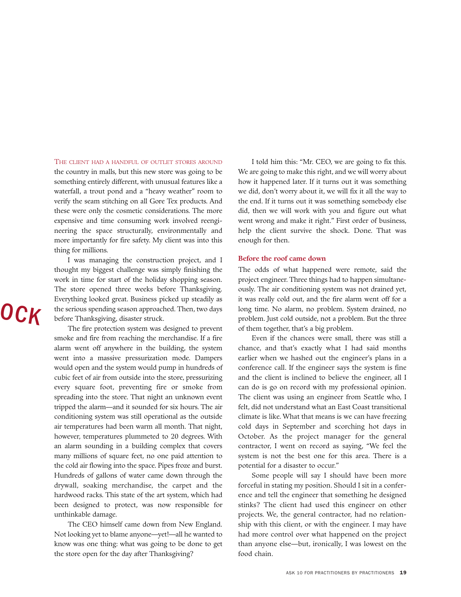THE CLIENT HAD A HANDFUL OF OUTLET STORES AROUND I told him this: "Mr. CEO, we are going to fix this.

verify the seam stitching on all Gore Tex products. And the end. If it turns out it was something somebody else expensive and time consuming work involved reengi- went wrong and make it right." First order of business, more importantly for fire safety. My client was into this enough for then. thing for millions.

I was managing the construction project, and I **Before the roof came down** thought my biggest challenge was simply finishing the The odds of what happened were remote, said the

The fire protection system was designed to prevent of them together, that's a big problem. smoke and fire from reaching the merchandise. If a fire Even if the chances were small, there was still a alarm went off anywhere in the building, the system chance, and that's exactly what I had said months went into a massive pressurization mode. Dampers earlier when we hashed out the engineer's plans in a would open and the system would pump in hundreds of conference call. If the engineer says the system is fine cubic feet of air from outside into the store, pressurizing and the client is inclined to believe the engineer, all I every square foot, preventing fire or smoke from can do is go on record with my professional opinion. spreading into the store. That night an unknown event The client was using an engineer from Seattle who, I tripped the alarm—and it sounded for six hours. The air felt, did not understand what an East Coast transitional conditioning system was still operational as the outside climate is like. What that means is we can have freezing air temperatures had been warm all month. That night, cold days in September and scorching hot days in however, temperatures plummeted to 20 degrees. With October. As the project manager for the general an alarm sounding in a building complex that covers contractor, I went on record as saying, "We feel the many millions of square feet, no one paid attention to system is not the best one for this area. There is a the cold air flowing into the space. Pipes froze and burst. potential for a disaster to occur." Hundreds of gallons of water came down through the Some people will say I should have been more drywall, soaking merchandise, the carpet and the forceful in stating my position. Should I sit in a conferhardwood racks. This state of the art system, which had ence and tell the engineer that something he designed been designed to protect, was now responsible for stinks? The client had used this engineer on other unthinkable damage. projects. We, the general contractor, had no relation-

the store open for the day after Thanksgiving? food chain.

the country in malls, but this new store was going to be We are going to make this right, and we will worry about something entirely different, with unusual features like a how it happened later. If it turns out it was something waterfall, a trout pond and a "heavy weather" room to we did, don't worry about it, we will fix it all the way to these were only the cosmetic considerations. The more did, then we will work with you and figure out what neering the space structurally, environmentally and help the client survive the shock. Done. That was

work in time for start of the holiday shopping season. project engineer. Three things had to happen simultane-The store opened three weeks before Thanksgiving. ously. The air conditioning system was not drained yet, Everything looked great. Business picked up steadily as it was really cold out, and the fire alarm went off for a the serious spending season approached. Then, two days long time. No alarm, no problem. System drained, no before Thanksgiving, disaster struck. problem. Just cold outside, not a problem. But the three

The CEO himself came down from New England. ship with this client, or with the engineer. I may have Not looking yet to blame anyone—yet!—all he wanted to had more control over what happened on the project know was one thing: what was going to be done to get than anyone else—but, ironically, I was lowest on the

# O<sub>C</sub>K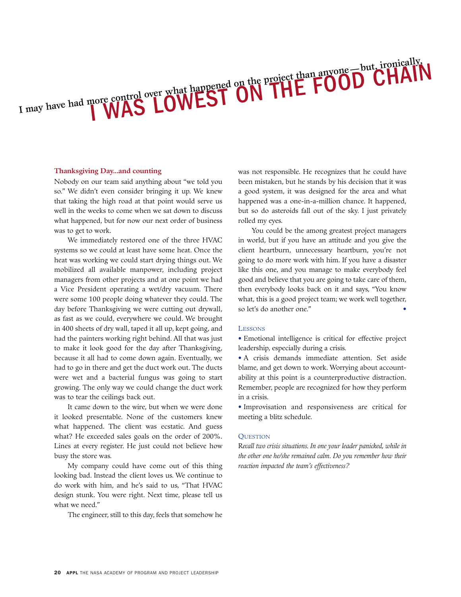so." We didn't even consider bringing it up. We knew a good system, it was designed for the area and what that taking the high road at that point would serve us happened was a one-in-a-million chance. It happened, well in the weeks to come when we sat down to discuss but so do asteroids fall out of the sky. I just privately what happened, but for now our next order of business rolled my eyes. was to get to work. The same state of the among greatest project managers was to get to work.

I may have had more control over what happened on the pr

systems so we could at least have some heat. Once the client heartburn, unnecessary heartburn, you're not heat was working we could start drying things out. We going to do more work with him. If you have a disaster mobilized all available manpower, including project like this one, and you manage to make everybody feel managers from other projects and at one point we had good and believe that you are going to take care of them, a Vice President operating a wet/dry vacuum. There then everybody looks back on it and says, "You know were some 100 people doing whatever they could. The what, this is a good project team; we work well together, day before Thanksgiving we were cutting out drywall, so let's do another one." as fast as we could, everywhere we could. We brought in 400 sheets of dry wall, taped it all up, kept going, and LESSONS had the painters working right behind. All that was just • Emotional intelligence is critical for effective project to make it look good for the day after Thanksgiving, leadership, especially during a crisis. because it all had to come down again. Eventually, we • A crisis demands immediate attention. Set aside had to go in there and get the duct work out. The ducts blame, and get down to work. Worrying about accountwere wet and a bacterial fungus was going to start ability at this point is a counterproductive distraction. growing. The only way we could change the duct work Remember, people are recognized for how they perform was to tear the ceilings back out. The in a crisis.

it looked presentable. None of the customers knew meeting a blitz schedule. what happened. The client was ecstatic. And guess what? He exceeded sales goals on the order of 200%. QUESTION Lines at every register. He just could not believe how R*ecall two crisis situations. In one your leader panicked, while in* busy the store was. *the other one he/she remained calm. Do you remember how their*

My company could have come out of this thing *reaction impacted the team's effectiveness?* looking bad. Instead the client loves us. We continue to do work with him, and he's said to us, "That HVAC design stunk. You were right. Next time, please tell us what we need."

The engineer, still to this day, feels that somehow he

**Thanksgiving Day...and counting** was not responsible. He recognizes that he could have Nobody on our team said anything about "we told you been mistaken, but he stands by his decision that it was

onically

We immediately restored one of the three HVAC in world, but if you have an attitude and you give the

nore control over what happened on the project than anyone but, ironically ntrol over what happened on the project than anyone Dulcil

It came down to the wire, but when we were done • Improvisation and responsiveness are critical for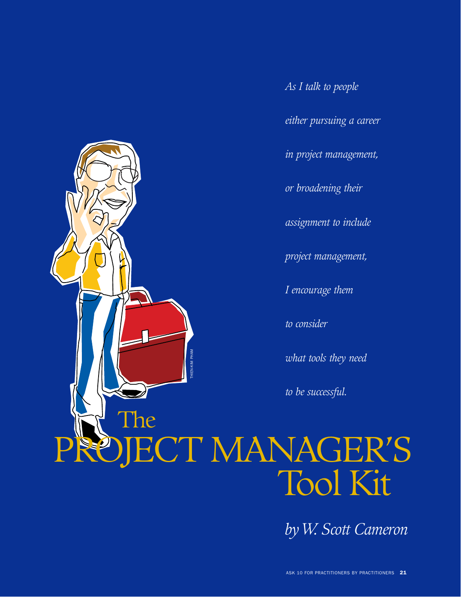

*As I talk to people* 

*either pursuing a career* 

*in project management,*

*or broadening their*

*assignment to include* 

*project management,*

*I encourage them* 

*to consider* 

*what tools they need* 

*to be successful.*

# PROJECT MANAGER'S Tool Kit

*byW. Scott Cameron*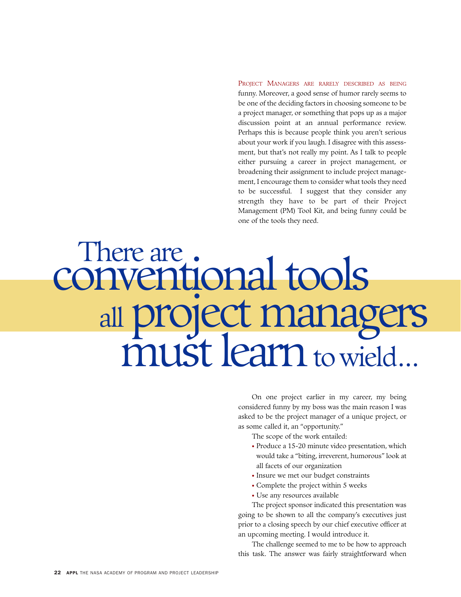PROJECT MANAGERS ARE RARELY DESCRIBED AS BEING funny. Moreover, a good sense of humor rarely seems to be one of the deciding factors in choosing someone to be a project manager, or something that pops up as a major discussion point at an annual performance review. Perhaps this is because people think you aren't serious about your work if you laugh. I disagree with this assessment, but that's not really my point. As I talk to people either pursuing a career in project management, or broadening their assignment to include project management, I encourage them to consider what tools they need to be successful. I suggest that they consider any strength they have to be part of their Project Management (PM) Tool Kit, and being funny could be one of the tools they need.

# There are .<br>conventional tools all project managers must learn to wield...

On one project earlier in my career, my being considered funny by my boss was the main reason I was asked to be the project manager of a unique project, or as some called it, an "opportunity."

The scope of the work entailed:

- Produce a 15-20 minute video presentation, which would take a "biting, irreverent, humorous" look at all facets of our organization
- Insure we met our budget constraints
- Complete the project within 5 weeks
- Use any resources available

The project sponsor indicated this presentation was going to be shown to all the company's executives just prior to a closing speech by our chief executive officer at an upcoming meeting. I would introduce it.

The challenge seemed to me to be how to approach this task. The answer was fairly straightforward when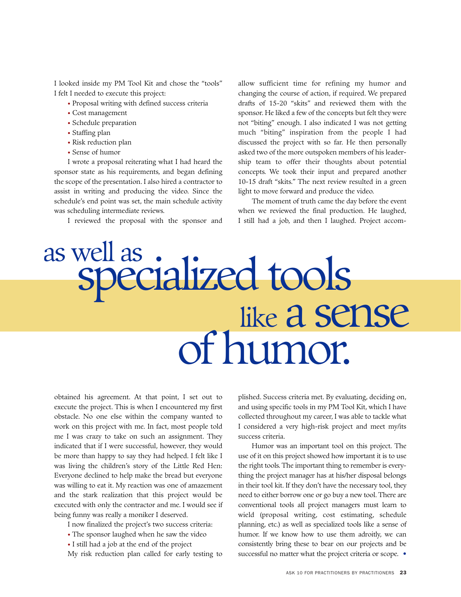I looked inside my PM Tool Kit and chose the "tools" I felt I needed to execute this project:

- Proposal writing with defined success criteria
- Cost management
- Schedule preparation
- Staffing plan
- Risk reduction plan
- Sense of humor

I wrote a proposal reiterating what I had heard the sponsor state as his requirements, and began defining the scope of the presentation. I also hired a contractor to assist in writing and producing the video. Since the schedule's end point was set, the main schedule activity was scheduling intermediate reviews.

I reviewed the proposal with the sponsor and

allow sufficient time for refining my humor and changing the course of action, if required. We prepared drafts of 15-20 "skits" and reviewed them with the sponsor. He liked a few of the concepts but felt they were not "biting" enough. I also indicated I was not getting much "biting" inspiration from the people I had discussed the project with so far. He then personally asked two of the more outspoken members of his leadership team to offer their thoughts about potential concepts. We took their input and prepared another 10-15 draft "skits." The next review resulted in a green light to move forward and produce the video.

The moment of truth came the day before the event when we reviewed the final production. He laughed, I still had a job, and then I laughed. Project accom-

# as well as .<br>Specialized tools like a sense of humor.

obtained his agreement. At that point, I set out to execute the project. This is when I encountered my first obstacle. No one else within the company wanted to work on this project with me. In fact, most people told me I was crazy to take on such an assignment. They indicated that if I were successful, however, they would be more than happy to say they had helped. I felt like I was living the children's story of the Little Red Hen: Everyone declined to help make the bread but everyone was willing to eat it. My reaction was one of amazement and the stark realization that this project would be executed with only the contractor and me. I would see if being funny was really a moniker I deserved.

I now finalized the project's two success criteria:

- The sponsor laughed when he saw the video
- I still had a job at the end of the project
- My risk reduction plan called for early testing to

plished. Success criteria met. By evaluating, deciding on, and using specific tools in my PM Tool Kit, which I have collected throughout my career, I was able to tackle what I considered a very high-risk project and meet my/its success criteria.

Humor was an important tool on this project. The use of it on this project showed how important it is to use the right tools. The important thing to remember is everything the project manager has at his/her disposal belongs in their tool kit. If they don't have the necessary tool, they need to either borrow one or go buy a new tool. There are conventional tools all project managers must learn to wield (proposal writing, cost estimating, schedule planning, etc.) as well as specialized tools like a sense of humor. If we know how to use them adroitly, we can consistently bring these to bear on our projects and be successful no matter what the project criteria or scope.  $\bullet$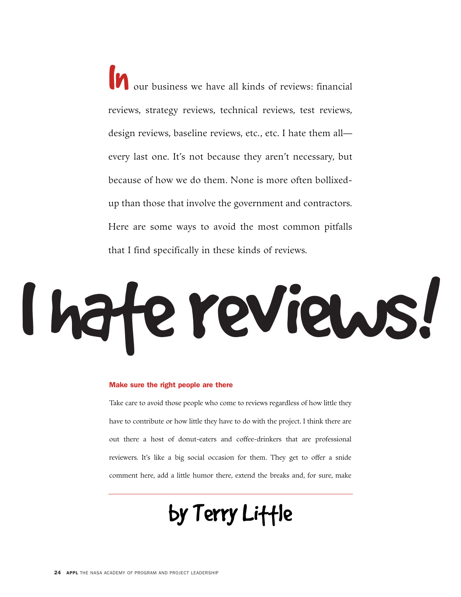In our business we have all kinds of reviews: financial reviews, strategy reviews, technical reviews, test reviews, design reviews, baseline reviews, etc., etc. I hate them all every last one. It's not because they aren't necessary, but because of how we do them. None is more often bollixedup than those that involve the government and contractors. Here are some ways to avoid the most common pitfalls that I find specifically in these kinds of reviews.

# I hate reviews!

# Make sure the right people are there

Take care to avoid those people who come to reviews regardless of how little they have to contribute or how little they have to do with the project. I think there are out there a host of donut-eaters and coffee-drinkers that are professional reviewers. It's like a big social occasion for them. They get to offer a snide comment here, add a little humor there, extend the breaks and, for sure, make

# by Terry Little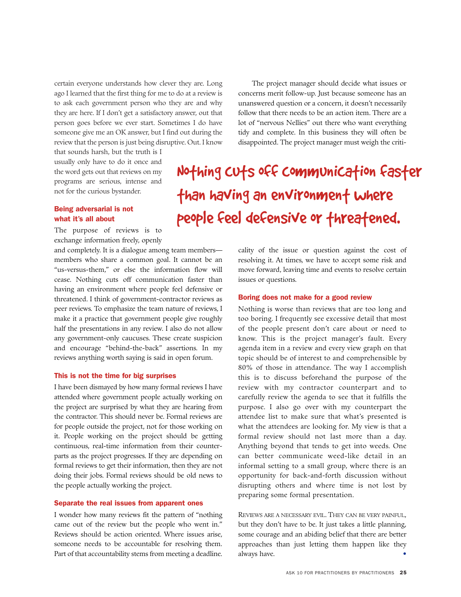certain everyone understands how clever they are. Long ago I learned that the first thing for me to do at a review is to ask each government person who they are and why they are here. If I don't get a satisfactory answer, out that person goes before we ever start. Sometimes I do have someone give me an OK answer, but I find out during the review that the person is just being disruptive. Out. I know

that sounds harsh, but the truth is I usually only have to do it once and the word gets out that reviews on my programs are serious, intense and not for the curious bystander.

# Being adversarial is not what it's all about

The purpose of reviews is to exchange information freely, openly

and completely. It is a dialogue among team members members who share a common goal. It cannot be an "us-versus-them," or else the information flow will cease. Nothing cuts off communication faster than having an environment where people feel defensive or threatened. I think of government-contractor reviews as peer reviews. To emphasize the team nature of reviews, I make it a practice that government people give roughly half the presentations in any review. I also do not allow any government-only caucuses. These create suspicion and encourage "behind-the-back" assertions. In my reviews anything worth saying is said in open forum.

# This is not the time for big surprises

I have been dismayed by how many formal reviews I have attended where government people actually working on the project are surprised by what they are hearing from the contractor. This should never be. Formal reviews are for people outside the project, not for those working on it. People working on the project should be getting continuous, real-time information from their counterparts as the project progresses. If they are depending on formal reviews to get their information, then they are not doing their jobs. Formal reviews should be old news to the people actually working the project.

# Separate the real issues from apparent ones

I wonder how many reviews fit the pattern of "nothing came out of the review but the people who went in." Reviews should be action oriented. Where issues arise, someone needs to be accountable for resolving them. Part of that accountability stems from meeting a deadline.

The project manager should decide what issues or concerns merit follow-up. Just because someone has an unanswered question or a concern, it doesn't necessarily follow that there needs to be an action item. There are a lot of "nervous Nellies" out there who want everything tidy and complete. In this business they will often be disappointed. The project manager must weigh the criti-

Nothing CUts off Communication faster than having an environment where people feel defensive or threatened.

> cality of the issue or question against the cost of resolving it. At times, we have to accept some risk and move forward, leaving time and events to resolve certain issues or questions.

### Boring does not make for a good review

Nothing is worse than reviews that are too long and too boring. I frequently see excessive detail that most of the people present don't care about or need to know. This is the project manager's fault. Every agenda item in a review and every view graph on that topic should be of interest to and comprehensible by 80% of those in attendance. The way I accomplish this is to discuss beforehand the purpose of the review with my contractor counterpart and to carefully review the agenda to see that it fulfills the purpose. I also go over with my counterpart the attendee list to make sure that what's presented is what the attendees are looking for. My view is that a formal review should not last more than a day. Anything beyond that tends to get into weeds. One can better communicate weed-like detail in an informal setting to a small group, where there is an opportunity for back-and-forth discussion without disrupting others and where time is not lost by preparing some formal presentation.

REVIEWS ARE A NECESSARY EVIL. THEY CAN BE VERY PAINFUL, but they don't have to be. It just takes a little planning, some courage and an abiding belief that there are better approaches than just letting them happen like they always have.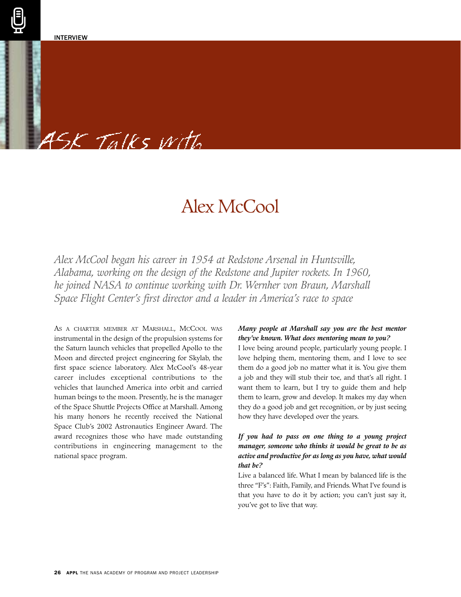# 45K Talks with

# Alex McCool

*Alex McCool began his career in 1954 at Redstone Arsenal in Huntsville, Alabama, working on the design of the Redstone and Jupiter rockets. In 1960, he joined NASA to continue working with Dr. Wernher von Braun, Marshall Space Flight Center's first director and a leader in America's race to space*

AS A CHARTER MEMBER AT MARSHALL, MCCOOL WAS instrumental in the design of the propulsion systems for the Saturn launch vehicles that propelled Apollo to the Moon and directed project engineering for Skylab, the first space science laboratory. Alex McCool's 48-year career includes exceptional contributions to the vehicles that launched America into orbit and carried human beings to the moon. Presently, he is the manager of the Space Shuttle Projects Office at Marshall. Among his many honors he recently received the National Space Club's 2002 Astronautics Engineer Award. The award recognizes those who have made outstanding contributions in engineering management to the national space program.

# *Many people at Marshall say you are the best mentor they've known. What does mentoring mean to you?*

I love being around people, particularly young people. I love helping them, mentoring them, and I love to see them do a good job no matter what it is. You give them a job and they will stub their toe, and that's all right. I want them to learn, but I try to guide them and help them to learn, grow and develop. It makes my day when they do a good job and get recognition, or by just seeing how they have developed over the years.

# *If you had to pass on one thing to a young project manager, someone who thinks it would be great to be as active and productive for as long as you have, what would that be?*

Live a balanced life. What I mean by balanced life is the three "F's": Faith, Family, and Friends. What I've found is that you have to do it by action; you can't just say it, you've got to live that way.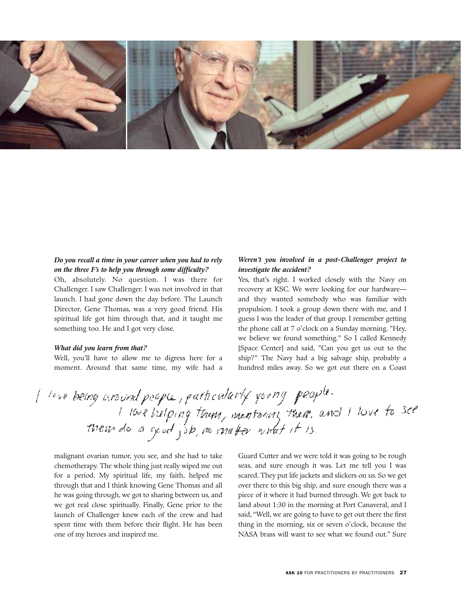

# *Do you recall a time in your career when you had to rely on the three F's to help you through some difficulty?*

Oh, absolutely. No question. I was there for Challenger. I saw Challenger. I was not involved in that launch. I had gone down the day before. The Launch Director, Gene Thomas, was a very good friend. His spiritual life got him through that, and it taught me something too. He and I got very close.

# *What did you learn from that?*

Well, you'll have to allow me to digress here for a moment. Around that same time, my wife had a

# *Weren't you involved in a post-Challenger project to investigate the accident?*

Yes, that's right. I worked closely with the Navy on recovery at KSC. We were looking for our hardware and they wanted somebody who was familiar with propulsion. I took a group down there with me, and I guess I was the leader of that group. I remember getting the phone call at 7 o'clock on a Sunday morning. "Hey, we believe we found something." So I called Kennedy [Space Center] and said, "Can you get us out to the ship?" The Navy had a big salvage ship, probably a hundred miles away. So we got out there on a Coast

I leve being around people, particularly young people. I love belong town, mentorial them, and I love to see

malignant ovarian tumor, you see, and she had to take chemotherapy. The whole thing just really wiped me out for a period. My spiritual life, my faith, helped me through that and I think knowing Gene Thomas and all he was going through, we got to sharing between us, and we got real close spiritually. Finally, Gene prior to the launch of Challenger knew each of the crew and had spent time with them before their flight. He has been one of my heroes and inspired me.

Guard Cutter and we were told it was going to be rough seas, and sure enough it was. Let me tell you I was scared. They put life jackets and slickers on us. So we get over there to this big ship, and sure enough there was a piece of it where it had burned through. We got back to land about 1:30 in the morning at Port Canaveral, and I said, "Well, we are going to have to get out there the first thing in the morning, six or seven o'clock, because the NASA brass will want to see what we found out." Sure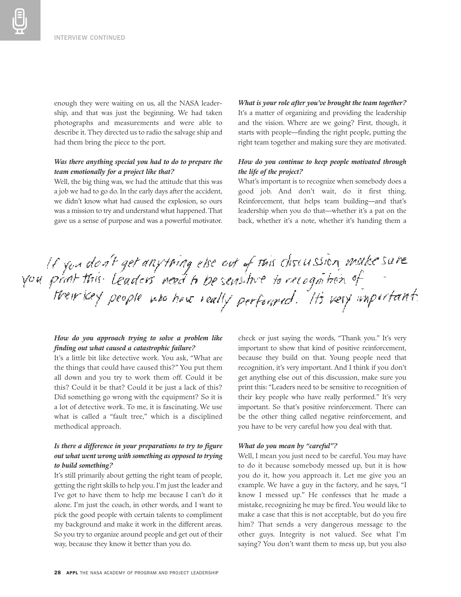enough they were waiting on us, all the NASA leadership, and that was just the beginning. We had taken photographs and measurements and were able to describe it. They directed us to radio the salvage ship and had them bring the piece to the port.

# *Was there anything special you had to do to prepare the team emotionally for a project like that?*

Well, the big thing was, we had the attitude that this was a job we had to go do. In the early days after the accident, we didn't know what had caused the explosion, so ours was a mission to try and understand what happened. That gave us a sense of purpose and was a powerful motivator.

*What is your role after you've brought the team together?*  It's a matter of organizing and providing the leadership and the vision. Where are we going? First, though, it starts with people—finding the right people, putting the right team together and making sure they are motivated.

# *How do you continue to keep people motivated through the life of the project?*

What's important is to recognize when somebody does a good job. And don't wait, do it first thing. Reinforcement, that helps team building—and that's leadership when you do that—whether it's a pat on the back, whether it's a note, whether it's handing them a

# If you don't get anything else out of this cliscussion, make sure<br>you print this Leaders need to be sensitive to recognition of<br>treir key people who have really performed. It's very important.

# *How do you approach trying to solve a problem like finding out what caused a catastrophic failure?*

It's a little bit like detective work. You ask, "What are the things that could have caused this?" You put them all down and you try to work them off. Could it be this? Could it be that? Could it be just a lack of this? Did something go wrong with the equipment? So it is a lot of detective work. To me, it is fascinating. We use what is called a "fault tree," which is a disciplined methodical approach.

# *Is there a difference in your preparations to try to figure out what went wrong with something as opposed to trying to build something?*

It's still primarily about getting the right team of people, getting the right skills to help you. I'm just the leader and I've got to have them to help me because I can't do it alone. I'm just the coach, in other words, and I want to pick the good people with certain talents to compliment my background and make it work in the different areas. So you try to organize around people and get out of their way, because they know it better than you do.

check or just saying the words, "Thank you." It's very important to show that kind of positive reinforcement, because they build on that. Young people need that recognition, it's very important. And I think if you don't get anything else out of this discussion, make sure you print this: "Leaders need to be sensitive to recognition of their key people who have really performed." It's very important. So that's positive reinforcement. There can be the other thing called negative reinforcement, and you have to be very careful how you deal with that.

## *What do you mean by "careful"?*

Well, I mean you just need to be careful. You may have to do it because somebody messed up, but it is how you do it, how you approach it. Let me give you an example. We have a guy in the factory, and he says, "I know I messed up." He confesses that he made a mistake, recognizing he may be fired. You would like to make a case that this is not acceptable, but do you fire him? That sends a very dangerous message to the other guys. Integrity is not valued. See what I'm saying? You don't want them to mess up, but you also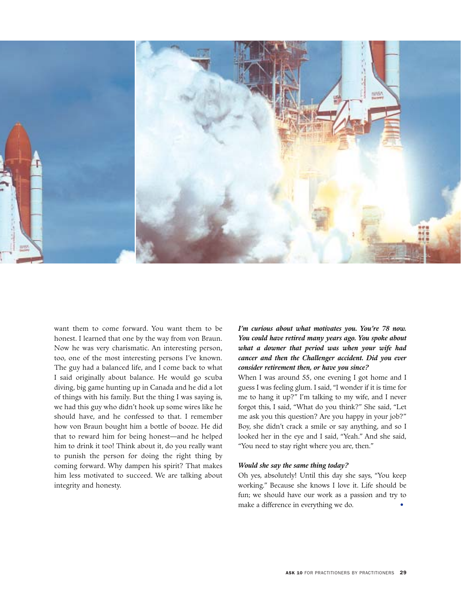

want them to come forward. You want them to be honest. I learned that one by the way from von Braun. Now he was very charismatic. An interesting person, too, one of the most interesting persons I've known. The guy had a balanced life, and I come back to what I said originally about balance. He would go scuba diving, big game hunting up in Canada and he did a lot of things with his family. But the thing I was saying is, we had this guy who didn't hook up some wires like he should have, and he confessed to that. I remember how von Braun bought him a bottle of booze. He did that to reward him for being honest—and he helped him to drink it too! Think about it, do you really want to punish the person for doing the right thing by coming forward. Why dampen his spirit? That makes him less motivated to succeed. We are talking about integrity and honesty.

# *I'm curious about what motivates you. You're 78 now. You could have retired many years ago. You spoke about what a downer that period was when your wife had cancer and then the Challenger accident. Did you ever consider retirement then, or have you since?*

When I was around 55, one evening I got home and I guess I was feeling glum. I said, "I wonder if it is time for me to hang it up?" I'm talking to my wife, and I never forgot this, I said, "What do you think?" She said, "Let me ask you this question? Are you happy in your job?" Boy, she didn't crack a smile or say anything, and so I looked her in the eye and I said, "Yeah." And she said, "You need to stay right where you are, then."

# *Would she say the same thing today?*

Oh yes, absolutely! Until this day she says, "You keep working." Because she knows I love it. Life should be fun; we should have our work as a passion and try to make a difference in everything we do. •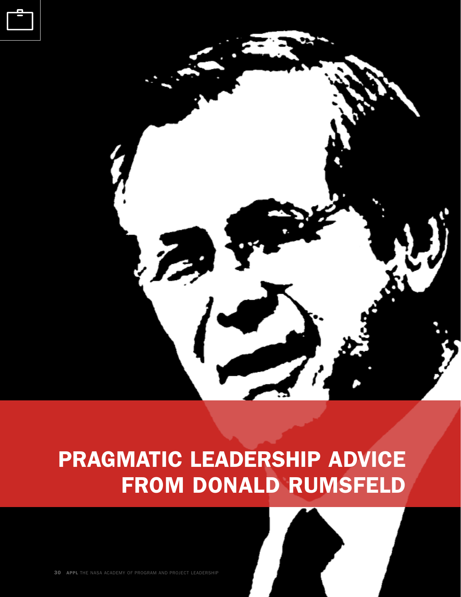



# PRAGMATIC LEADERSHIP ADVICE FROM DONALD RUMSFELD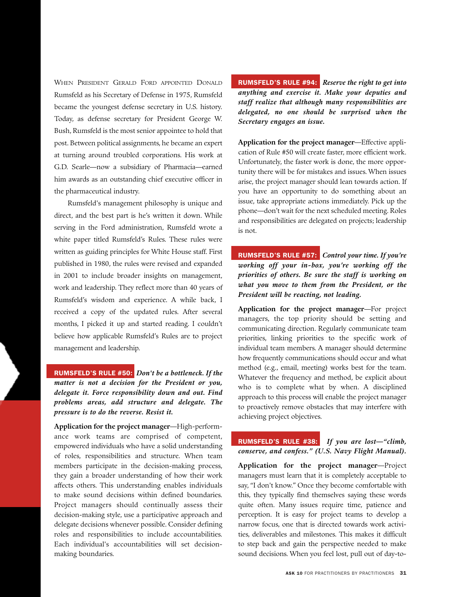WHEN PRESIDENT GERALD FORD APPOINTED DONALD Rumsfeld as his Secretary of Defense in 1975, Rumsfeld became the youngest defense secretary in U.S. history. Today, as defense secretary for President George W. Bush, Rumsfeld is the most senior appointee to hold that post. Between political assignments, he became an expert at turning around troubled corporations. His work at G.D. Searle—now a subsidiary of Pharmacia—earned him awards as an outstanding chief executive officer in the pharmaceutical industry.

Rumsfeld's management philosophy is unique and direct, and the best part is he's written it down. While serving in the Ford administration, Rumsfeld wrote a white paper titled Rumsfeld's Rules. These rules were written as guiding principles for White House staff. First published in 1980, the rules were revised and expanded in 2001 to include broader insights on management, work and leadership. They reflect more than 40 years of Rumsfeld's wisdom and experience. A while back, I received a copy of the updated rules. After several months, I picked it up and started reading. I couldn't believe how applicable Rumsfeld's Rules are to project management and leadership.

RUMSFELD'S RULE #50: *Don't be a bottleneck. If the matter is not a decision for the President or you, delegate it. Force responsibility down and out. Find problems areas, add structure and delegate. The pressure is to do the reverse. Resist it.*

**Application for the project manager**—High-performance work teams are comprised of competent, empowered individuals who have a solid understanding of roles, responsibilities and structure. When team members participate in the decision-making process, they gain a broader understanding of how their work affects others. This understanding enables individuals to make sound decisions within defined boundaries. Project managers should continually assess their decision-making style, use a participative approach and delegate decisions whenever possible. Consider defining roles and responsibilities to include accountabilities. Each individual's accountabilities will set decisionmaking boundaries.

# RUMSFELD'S RULE #94: *Reserve the right to get into*

*anything and exercise it. Make your deputies and staff realize that although many responsibilities are delegated, no one should be surprised when the Secretary engages an issue.*

**Application for the project manager**—Effective application of Rule #50 will create faster, more efficient work. Unfortunately, the faster work is done, the more opportunity there will be for mistakes and issues. When issues arise, the project manager should lean towards action. If you have an opportunity to do something about an issue, take appropriate actions immediately. Pick up the phone—don't wait for the next scheduled meeting. Roles and responsibilities are delegated on projects; leadership is not.

RUMSFELD'S RULE #57: *Control your time. If you're working off your in-box, you're working off the priorities of others. Be sure the staff is working on what you move to them from the President, or the President will be reacting, not leading.*

**Application for the project manager**—For project managers, the top priority should be setting and communicating direction. Regularly communicate team priorities, linking priorities to the specific work of individual team members. A manager should determine how frequently communications should occur and what method (e.g., email, meeting) works best for the team. Whatever the frequency and method, be explicit about who is to complete what by when. A disciplined approach to this process will enable the project manager to proactively remove obstacles that may interfere with achieving project objectives.

# RUMSFELD'S RULE #38: *If you are lost—"climb, conserve, and confess." (U.S. Navy Flight Manual).*

**Application for the project manager**—Project managers must learn that it is completely acceptable to say, "I don't know." Once they become comfortable with this, they typically find themselves saying these words quite often. Many issues require time, patience and perception. It is easy for project teams to develop a narrow focus, one that is directed towards work activities, deliverables and milestones. This makes it difficult to step back and gain the perspective needed to make sound decisions. When you feel lost, pull out of day-to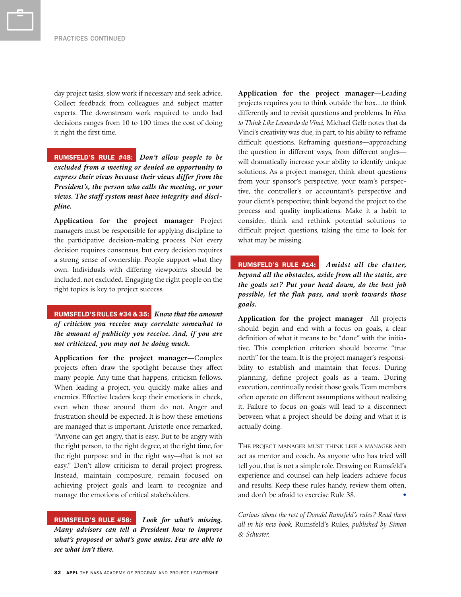day project tasks, slow work if necessary and seek advice. Collect feedback from colleagues and subject matter experts. The downstream work required to undo bad decisions ranges from 10 to 100 times the cost of doing it right the first time.

RUMSFELD'S RULE #48: *Don't allow people to be excluded from a meeting or denied an opportunity to express their views because their views differ from the President's, the person who calls the meeting, or your views. The staff system must have integrity and discipline.*

**Application for the project manager**—Project managers must be responsible for applying discipline to the participative decision-making process. Not every decision requires consensus, but every decision requires a strong sense of ownership. People support what they own. Individuals with differing viewpoints should be included, not excluded. Engaging the right people on the right topics is key to project success.

RUMSFELD'SRULES #34 & 35: *Know that the amount of criticism you receive may correlate somewhat to the amount of publicity you receive. And, if you are not criticized, you may not be doing much.*

**Application for the project manager**—Complex projects often draw the spotlight because they affect many people. Any time that happens, criticism follows. When leading a project, you quickly make allies and enemies. Effective leaders keep their emotions in check, even when those around them do not. Anger and frustration should be expected. It is how these emotions are managed that is important. Aristotle once remarked, "Anyone can get angry, that is easy. But to be angry with the right person, to the right degree, at the right time, for the right purpose and in the right way—that is not so easy." Don't allow criticism to derail project progress. Instead, maintain composure, remain focused on achieving project goals and learn to recognize and manage the emotions of critical stakeholders.

RUMSFELD'S RULE #58: *Look for what's missing. Many advisors can tell a President how to improve what's proposed or what's gone amiss. Few are able to see what isn't there.*

**Application for the project manager**—Leading projects requires you to think outside the box…to think differently and to revisit questions and problems. In *How to Think Like Leonardo da Vinci,* Michael Gelb notes that da Vinci's creativity was due, in part, to his ability to reframe difficult questions. Reframing questions—approaching the question in different ways, from different angles will dramatically increase your ability to identify unique solutions. As a project manager, think about questions from your sponsor's perspective, your team's perspective, the controller's or accountant's perspective and your client's perspective; think beyond the project to the process and quality implications. Make it a habit to consider, think and rethink potential solutions to difficult project questions, taking the time to look for what may be missing.

RUMSFELD'S RULE #14: *Amidst all the clutter, beyond all the obstacles, aside from all the static, are the goals set? Put your head down, do the best job possible, let the flak pass, and work towards those goals.*

**Application for the project manager**—All projects should begin and end with a focus on goals, a clear definition of what it means to be "done" with the initiative. This completion criterion should become "true north" for the team. It is the project manager's responsibility to establish and maintain that focus. During planning, define project goals as a team. During execution, continually revisit those goals. Team members often operate on different assumptions without realizing it. Failure to focus on goals will lead to a disconnect between what a project should be doing and what it is actually doing.

THE PROJECT MANAGER MUST THINK LIKE A MANAGER AND act as mentor and coach. As anyone who has tried will tell you, that is not a simple role. Drawing on Rumsfeld's experience and counsel can help leaders achieve focus and results. Keep these rules handy, review them often, and don't be afraid to exercise Rule 38.

*Curious about the rest of Donald Rumsfeld's rules? Read them all in his new book,* Rumsfeld's Rules, *published by Simon & Schuster.*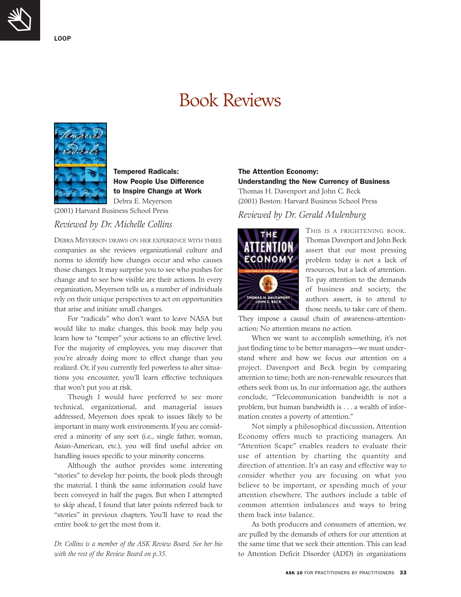LOOP

# Book Reviews



Tempered Radicals: How People Use Difference to Inspire Change at Work Debra E. Meyerson

(2001) Harvard Business School Press

# *Reviewed by Dr. Michelle Collins*

DEBRA MEYERSON DRAWS ON HER EXPERIENCE WITH THREE companies as she reviews organizational culture and norms to identify how changes occur and who causes those changes. It may surprise you to see who pushes for change and to see how visible are their actions. In every organization, Meyerson tells us, a number of individuals rely on their unique perspectives to act on opportunities that arise and initiate small changes.

For "radicals" who don't want to leave NASA but would like to make changes, this book may help you learn how to "temper" your actions to an effective level. For the majority of employees, you may discover that you're already doing more to effect change than you realized. Or, if you currently feel powerless to alter situations you encounter, you'll learn effective techniques that won't put you at risk.

Though I would have preferred to see more technical, organizational, and managerial issues addressed, Meyerson does speak to issues likely to be important in many work environments. If you are considered a minority of any sort (i.e., single father, woman, Asian-American, etc.), you will find useful advice on handling issues specific to your minority concerns.

Although the author provides some interesting "stories" to develop her points, the book plods through the material. I think the same information could have been conveyed in half the pages. But when I attempted to skip ahead, I found that later points referred back to "stories" in previous chapters. You'll have to read the entire book to get the most from it.

*Dr. Collins is a member of the ASK Review Board. See her bio with the rest of the Review Board on p.35.*

# The Attention Economy: Understanding the New Currency of Business

Thomas H. Davenport and John C. Beck (2001) Boston: Harvard Business School Press

# *Reviewed by Dr. Gerald Mulenburg*



THIS IS A FRIGHTENING BOOK. Thomas Davenport and John Beck assert that our most pressing problem today is not a lack of resources, but a lack of attention. To pay attention to the demands of business and society, the authors assert, is to attend to those needs, to take care of them.

They impose a causal chain of awareness-attentionaction: No attention means no action.

When we want to accomplish something, it's not just finding time to be better managers—we must understand where and how we focus our attention on a project. Davenport and Beck begin by comparing attention to time; both are non-renewable resources that others seek from us. In our information age, the authors conclude, "Telecommunication bandwidth is not a problem, but human bandwidth is . . . a wealth of information creates a poverty of attention."

Not simply a philosophical discussion, Attention Economy offers much to practicing managers. An "Attention Scape" enables readers to evaluate their use of attention by charting the quantity and direction of attention. It's an easy and effective way to consider whether you are focusing on what you believe to be important, or spending much of your attention elsewhere. The authors include a table of common attention imbalances and ways to bring them back into balance.

As both producers and consumers of attention, we are pulled by the demands of others for our attention at the same time that we seek their attention. This can lead to Attention Deficit Disorder (ADD) in organizations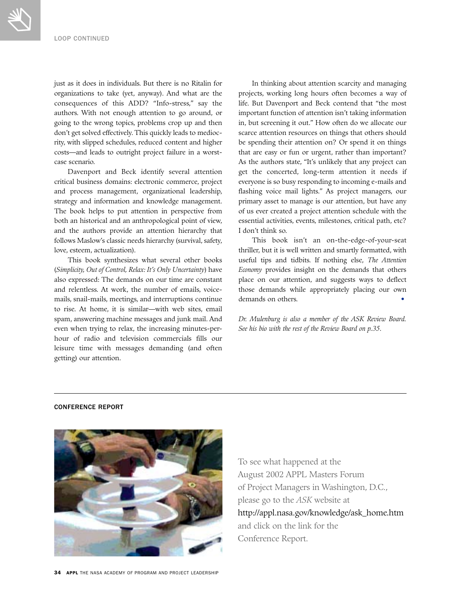just as it does in individuals. But there is no Ritalin for In thinking about attention scarcity and managing rity, with slipped schedules, reduced content and higher be spending their attention on? Or spend it on things costs—and leads to outright project failure in a worst- that are easy or fun or urgent, rather than important?

both an historical and an anthropological point of view, essential activities, events, milestones, critical path, etc? and the authors provide an attention hierarchy that I don't think so. follows Maslow's classic needs hierarchy (survival, safety, This book isn't an on-the-edge-of-your-seat

(*Simplicity, Out of Control, Relax: It's Only Uncertainty*) have *Economy* provides insight on the demands that others also expressed: The demands on our time are constant place on our attention, and suggests ways to deflect and relentless. At work, the number of emails, voice- those demands while appropriately placing our own mails, snail-mails, meetings, and interruptions continue demands on others. • to rise. At home, it is similar—with web sites, email spam, answering machine messages and junk mail. And *Dr. Mulenburg is also a member of the ASK Review Board.* even when trying to relax, the increasing minutes-per- *See his bio with the rest of the Review Board on p.35.* hour of radio and television commercials fills our leisure time with messages demanding (and often getting) our attention.

organizations to take (yet, anyway). And what are the projects, working long hours often becomes a way of consequences of this ADD? "Info-stress," say the life. But Davenport and Beck contend that "the most authors. With not enough attention to go around, or important function of attention isn't taking information going to the wrong topics, problems crop up and then in, but screening it out." How often do we allocate our don't get solved effectively. This quickly leads to medioc- scarce attention resources on things that others should case scenario. As the authors state, "It's unlikely that any project can Davenport and Beck identify several attention get the concerted, long-term attention it needs if critical business domains: electronic commerce, project everyone is so busy responding to incoming e-mails and and process management, organizational leadership, flashing voice mail lights." As project managers, our strategy and information and knowledge management. primary asset to manage is our attention, but have any The book helps to put attention in perspective from of us ever created a project attention schedule with the

love, esteem, actualization). thriller, but it is well written and smartly formatted, with This book synthesizes what several other books useful tips and tidbits. If nothing else, *The Attention*

# CONFERENCE REPORT



To see what happened at the August 2002 APPL Masters Forum of Project Managers in Washington, D.C., please go to the *ASK* website at http://appl.nasa.gov/knowledge/ask\_home.htm and click on the link for the Conference Report.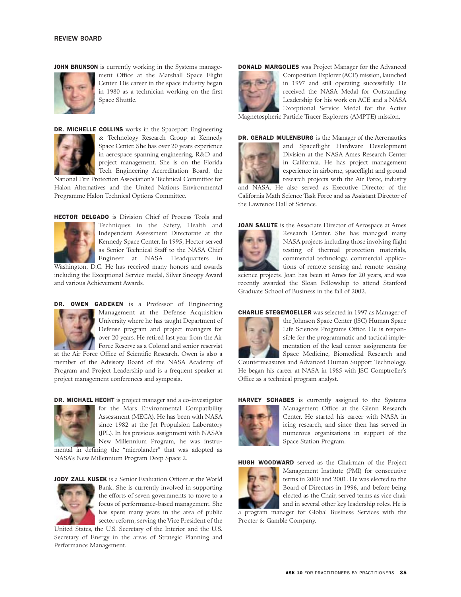JOHN BRUNSON is currently working in the Systems manage-



ment Office at the Marshall Space Flight Center. His career in the space industry began in 1980 as a technician working on the first Space Shuttle.



DR. MICHELLE COLLINS works in the Spaceport Engineering & Technology Research Group at Kennedy Space Center. She has over 20 years experience in aerospace spanning engineering, R&D and project management. She is on the Florida Tech Engineering Accreditation Board, the

National Fire Protection Association's Technical Committee for Halon Alternatives and the United Nations Environmental Programme Halon Technical Options Committee.

HECTOR DELGADO is Division Chief of Process Tools and



Techniques in the Safety, Health and Independent Assessment Directorate at the Kennedy Space Center. In 1995, Hector served as Senior Technical Staff to the NASA Chief Engineer at NASA Headquarters in Washington, D.C. He has received many honors and awards

including the Exceptional Service medal, Silver Snoopy Award and various Achievement Awards.



DR. OWEN GADEKEN is a Professor of Engineering Management at the Defense Acquisition University where he has taught Department of Defense program and project managers for over 20 years. He retired last year from the Air Force Reserve as a Colonel and senior reservist

at the Air Force Office of Scientific Research. Owen is also a member of the Advisory Board of the NASA Academy of Program and Project Leadership and is a frequent speaker at project management conferences and symposia.

DR. MICHAEL HECHT is project manager and a co-investigator



for the Mars Environmental Compatibility Assessment (MECA). He has been with NASA since 1982 at the Jet Propulsion Laboratory (JPL). In his previous assignment with NASA's New Millennium Program, he was instrumental in defining the "microlander" that was adopted as

NASA's New Millennium Program Deep Space 2.

JODY ZALL KUSEK is a Senior Evaluation Officer at the World



Bank. She is currently involved in supporting the efforts of seven governments to move to a focus of performance-based management. She has spent many years in the area of public sector reform, serving the Vice President of the

United States, the U.S. Secretary of the Interior and the U.S. Secretary of Energy in the areas of Strategic Planning and Performance Management.

**DONALD MARGOLIES** was Project Manager for the Advanced



Composition Explorer (ACE) mission, launched in 1997 and still operating successfully. He received the NASA Medal for Outstanding Leadership for his work on ACE and a NASA Exceptional Service Medal for the Active

Magnetospheric Particle Tracer Explorers (AMPTE) mission.



DR. GERALD MULENBURG is the Manager of the Aeronautics and Spaceflight Hardware Development Division at the NASA Ames Research Center in California. He has project management experience in airborne, spaceflight and ground research projects with the Air Force, industry

and NASA. He also served as Executive Director of the California Math Science Task Force and as Assistant Director of the Lawrence Hall of Science.





Research Center. She has managed many NASA projects including those involving flight testing of thermal protection materials, commercial technology, commercial applications of remote sensing and remote sensing

science projects. Joan has been at Ames for 20 years, and was recently awarded the Sloan Fellowship to attend Stanford Graduate School of Business in the fall of 2002.

CHARLIE STEGEMOELLER was selected in 1997 as Manager of



the Johnson Space Center (JSC) Human Space Life Sciences Programs Office. He is responsible for the programmatic and tactical implementation of the lead center assignments for Space Medicine, Biomedical Research and

Countermeasures and Advanced Human Support Technology. He began his career at NASA in 1985 with JSC Comptroller's Office as a technical program analyst.



HARVEY SCHABES is currently assigned to the Systems Management Office at the Glenn Research Center. He started his career with NASA in icing research, and since then has served in numerous organizations in support of the Space Station Program.

HUGH WOODWARD served as the Chairman of the Project



Management Institute (PMI) for consecutive terms in 2000 and 2001. He was elected to the Board of Directors in 1996, and before being elected as the Chair, served terms as vice chair and in several other key leadership roles. He is

a program manager for Global Business Services with the Procter & Gamble Company.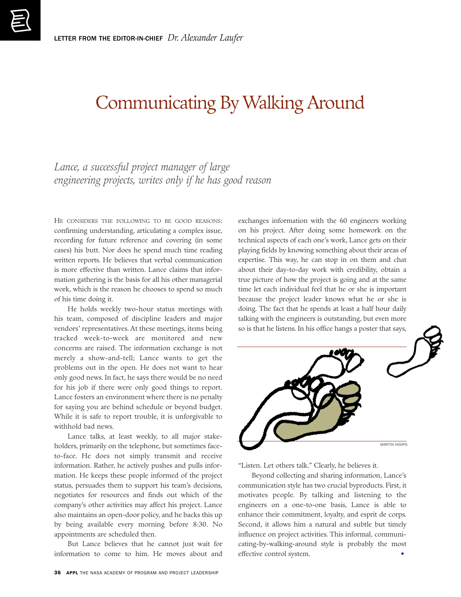# Communicating By Walking Around

*Lance, a successful project manager of large engineering projects, writes only if he has good reason*

HE CONSIDERS THE FOLLOWING TO BE GOOD REASONS: confirming understanding, articulating a complex issue, recording for future reference and covering (in some cases) his butt. Nor does he spend much time reading written reports. He believes that verbal communication is more effective than written. Lance claims that information gathering is the basis for all his other managerial work, which is the reason he chooses to spend so much of his time doing it.

He holds weekly two-hour status meetings with his team, composed of discipline leaders and major vendors' representatives. At these meetings, items being tracked week-to-week are monitored and new concerns are raised. The information exchange is not merely a show-and-tell; Lance wants to get the problems out in the open. He does not want to hear only good news. In fact, he says there would be no need for his job if there were only good things to report. Lance fosters an environment where there is no penalty for saying you are behind schedule or beyond budget. While it is safe to report trouble, it is unforgivable to withhold bad news.

Lance talks, at least weekly, to all major stakeholders, primarily on the telephone, but sometimes faceto-face. He does not simply transmit and receive information. Rather, he actively pushes and pulls information. He keeps these people informed of the project status, persuades them to support his team's decisions, negotiates for resources and finds out which of the company's other activities may affect his project. Lance also maintains an open-door policy, and he backs this up by being available every morning before 8:30. No appointments are scheduled then.

But Lance believes that he cannot just wait for information to come to him. He moves about and

exchanges information with the 60 engineers working on his project. After doing some homework on the technical aspects of each one's work, Lance gets on their playing fields by knowing something about their areas of expertise. This way, he can stop in on them and chat about their day-to-day work with credibility, obtain a true picture of how the project is going and at the same time let each individual feel that he or she is important because the project leader knows what he or she is doing. The fact that he spends at least a half hour daily talking with the engineers is outstanding, but even more so is that he listens. In his office hangs a poster that says,



"Listen. Let others talk." Clearly, he believes it.

Beyond collecting and sharing information, Lance's communication style has two crucial byproducts. First, it motivates people. By talking and listening to the engineers on a one-to-one basis, Lance is able to enhance their commitment, loyalty, and esprit de corps. Second, it allows him a natural and subtle but timely influence on project activities. This informal, communicating-by-walking-around style is probably the most effective control system.